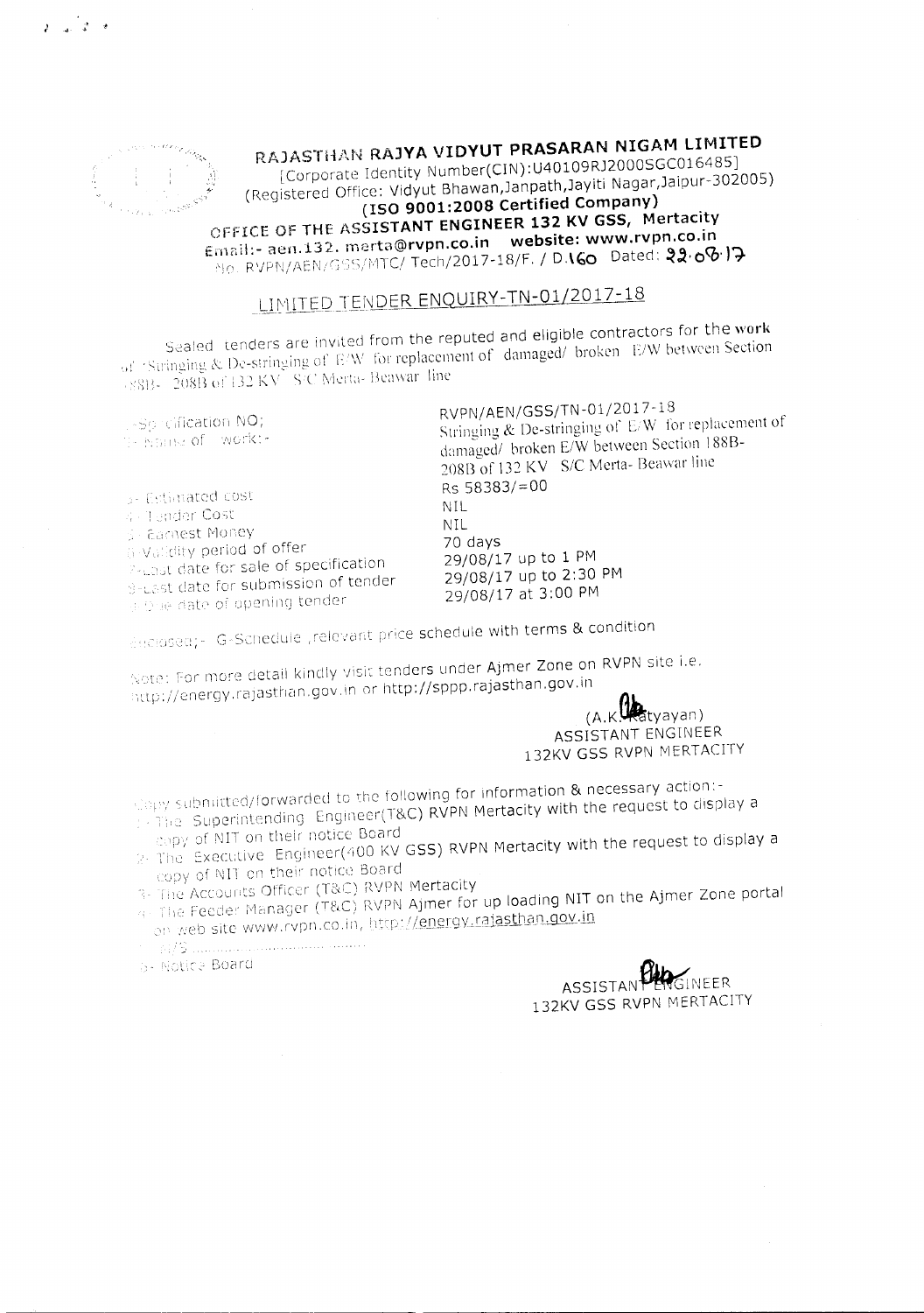

 $2 - 2 = 3$ 

RAJASTHAN RAJYA VIDYUT PRASARAN NIGAM LIMITED

[Corporate Identity Number(CIN):U40109RJ2000SGC016485] (Registered Office: Vidyut Bhawan, Janpath, Jayiti Nagar, Jaipur-302005) (ISO 9001:2008 Certified Company) OFFICE OF THE ASSISTANT ENGINEER 132 KV GSS, Mertacity Email:- aen.132. merta@rvpn.co.in website: www.rvpn.co.in NO. RVPN/AEN/GSS/MTC/ Tech/2017-18/F. / D.IGO Dated: 22.00.17

# LIMITED TENDER ENQUIRY-TN-01/2017-18

Sealed tenders are invited from the reputed and eligible contractors for the work of 'Stringing & De-stringing of E/W for replacement of damaged/ broken E/W between Section 8813-208B of 132 KV S/C Merta-Beawar line

1-So cification NO; 11- Name of Work:-

3- Estimated cost 4 - Tender Cost 5 - Earnest Money 6 Validity period of offer P-Last date for sale of specification B-Last date for submission of tender of Orie date of opening tender

RVPN/AEN/GSS/TN-01/2017-18 Stringing & De-stringing of E/W for replacement of damaged/ broken E/W between Section 188B-208B of 132 KV S/C Merta- Beawar line Rs 58383/=00 NIL. **NIL** 70 days 29/08/17 up to 1 PM 29/08/17 up to 2:30 PM 29/08/17 at 3:00 PM

decised;- G-Schedule ,relevant price schedule with terms & condition

Note: For more detail kindly visit tenders under Ajmer Zone on RVPN site i.e. http://energy.rajasthan.gov.in or http://sppp.rajasthan.gov.in

(A.K. Hatyayan) ASSISTANT ENGINEER 132KV GSS RVPN MERTACITY

Copy submitted/forwarded to the following for information & necessary action:-The Superintending Engineer(T&C) RVPN Mertacity with the request to display a

copy of NIT on their notice Board 2. The Executive Engineer(400 KV GSS) RVPN Mertacity with the request to display a copy of NIT on their notice Board

3- The Accounts Officer (T&C) RVPN Mertacity

4 The Feeder Manager (T&C) RVPN Ajmer for up loading NIT on the Ajmer Zone portal on web site www.rvpn.co.in, http://energy.rajasthan.gov.in

5- Notice Board

**SINFER ASSISTAN** 132KV GSS RVPN MERTACITY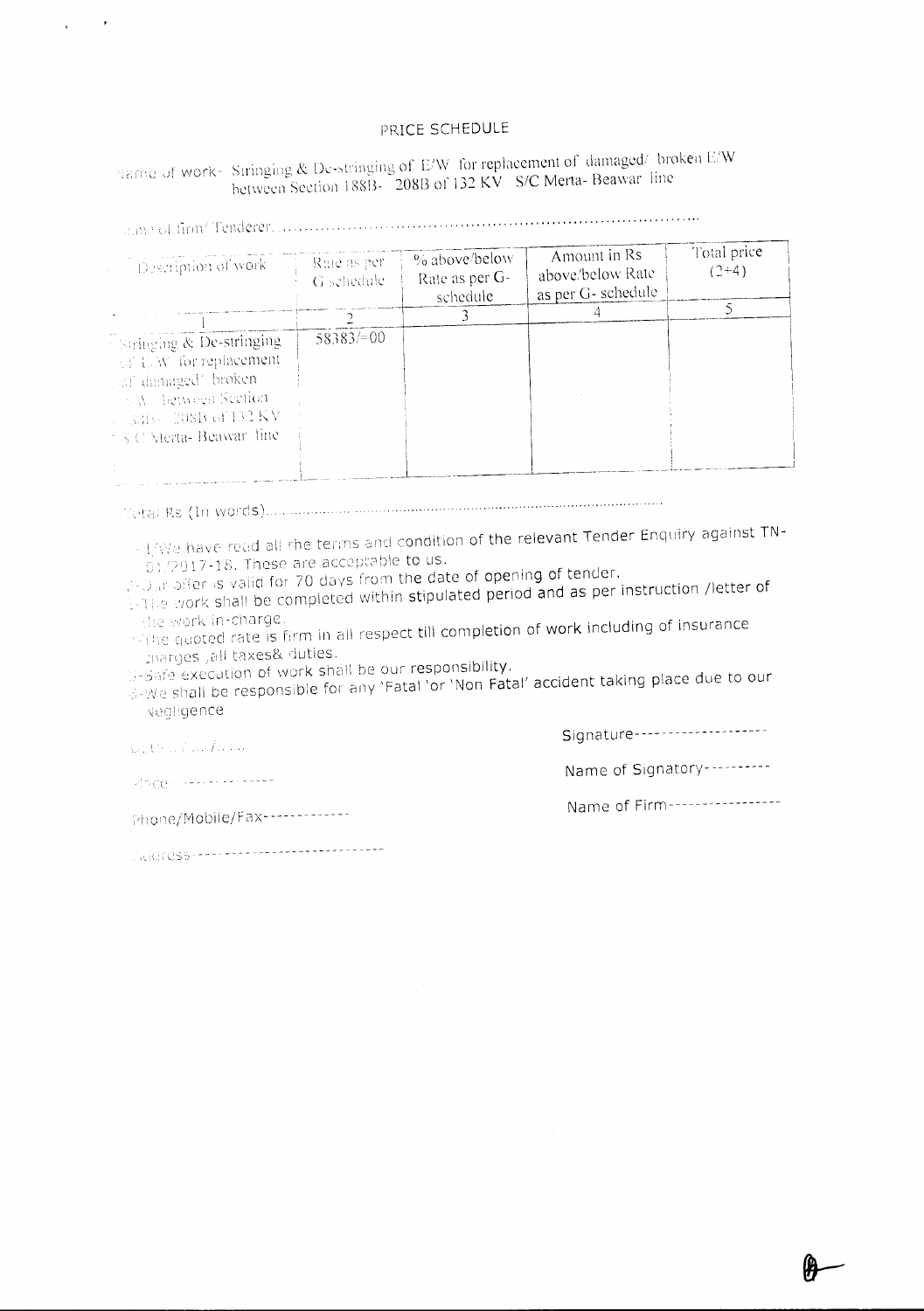#### PRICE SCHEDULE

#### Name of work- Stringing & De-stringing of E/W for replacement of damaged/ broken E/W between Section 188B-208B of 132 KV S/C Merta- Beawar line

| Description of work                                                                                                                                                                                                                                                                                                                                                                                             | Rate as per<br>G schedule. | % above/below<br>Rate as per G-<br>schedule | Amount in Rs<br>above/below Rate<br>as per G- schedule | Total price<br>$(2+4)$ |
|-----------------------------------------------------------------------------------------------------------------------------------------------------------------------------------------------------------------------------------------------------------------------------------------------------------------------------------------------------------------------------------------------------------------|----------------------------|---------------------------------------------|--------------------------------------------------------|------------------------|
|                                                                                                                                                                                                                                                                                                                                                                                                                 |                            |                                             |                                                        |                        |
| Stringing & De-stringing<br>$\otimes$ T.W. for replacement<br>of damaged' broken<br><b>AV Letween Section</b><br>$-3319 - 208B$ of 132 KV<br>$\leq$ $\leq$ $\leq$ $\leq$ $\leq$ $\leq$ $\leq$ $\leq$ $\leq$ $\leq$ $\leq$ $\leq$ $\leq$ $\leq$ $\leq$ $\leq$ $\leq$ $\leq$ $\leq$ $\leq$ $\leq$ $\leq$ $\leq$ $\leq$ $\leq$ $\leq$ $\leq$ $\leq$ $\leq$ $\leq$ $\leq$ $\leq$ $\leq$ $\leq$ $\leq$ $\leq$ $\leq$ | 58383/100                  |                                             |                                                        |                        |
|                                                                                                                                                                                                                                                                                                                                                                                                                 |                            |                                             |                                                        |                        |
|                                                                                                                                                                                                                                                                                                                                                                                                                 |                            |                                             |                                                        |                        |

- 1/We have read all the terms and condition of the relevant Tender Enquiry against TN- $01/2017$ -18. These are acceptable to us.

and offer is valid for 70 days from the date of opening of tender.

The work shall be completed within stipulated period and as per instruction /letter of

the work in-charge. a The quoted rate is firm in all respect till completion of work including of insurance marges , all taxes& duties.

5-Safe execution of work shall be our responsibility.

s-we shall be responsible for any 'Fatal 'or 'Non Fatal' accident taking place due to our

wegligence pitten Funkana

 $\sqrt{1-\beta}$  ,  $\beta$ 

Signature--------------------

Madden Herrer Holland

Name of Signatory---------Name of Firm-----------------

Phone/Mobile/Fax------------

Address -------------------------------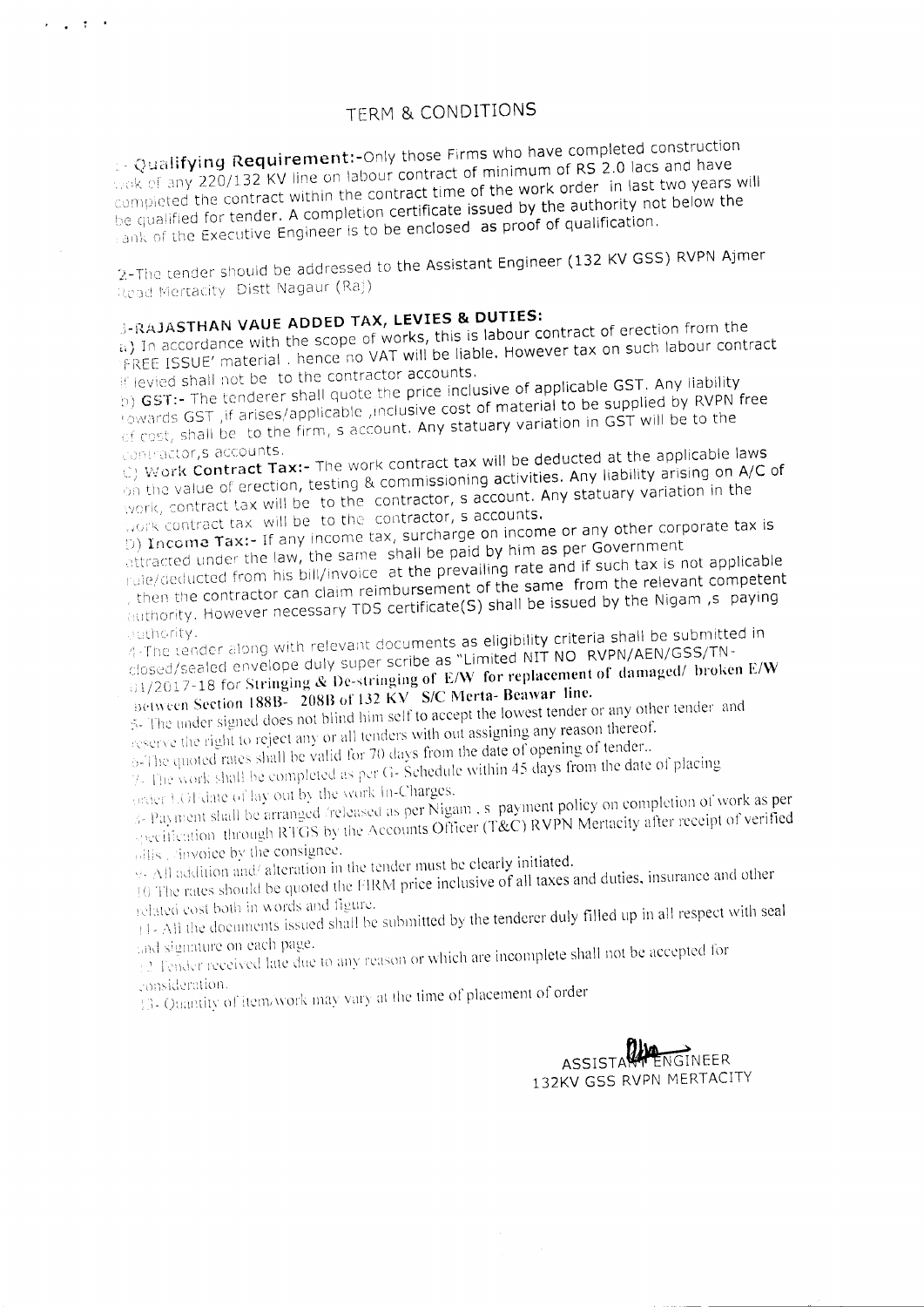$\gtrsim$  Qualifying Requirement:-Only those Firms who have completed construction wok of any 220/132 KV line on labour contract of minimum of RS 2.0 lacs and have compieted the contract within the contract time of the work order in last two years will be qualified for tender. A completion certificate issued by the authority not below the Figure 1.1 The Executive Engineer is to be enclosed as proof of qualification.

2-The tender should be addressed to the Assistant Engineer (132 KV GSS) RVPN Ajmer Read Mertacity Distt Nagaur (Raj)

# -RAJASTHAN **VAUE ADDED** TAX, **LEVIES &. DUTIES:**

经实际线

a.) In accordance with the scope of works, this is labour contract of erection from the FREE ISSUE' material. hence no VAT will be liable. However tax on such labour contract lev:ed shall not be to the contractor accounts.

b) GST:- The tenderer shall quote the price inclusive of applicable GST. Any liability towards GST , if arises/applicable , inclusive cost of material to be supplied by RVPN free cosr. shall be to the firm, s account. Any statuary variation in G5T will be to the

ontractor,s accounts.<br>2) Mork Contract Tax:- The work contract tax will be deducted at the applicable laws on the value of erection, testing & commissioning activities. Any liability arising on A/C of work, contract tax will be to the contractor, s account. Any statuary variation in the work contract tax will be to the contractor, s accounts.

) Income Tax:- If any income tax, surcharge on income or any other corporate tax is attracted under the law, the same shall be paid by him as per Government

rule/deducted from his bill/invoice at the prevailing rate and if such tax is not applicable tnen the contractor can claim reimbursement of the same from the relevant competent authority. However necessary TDS certificate(S) shall be issued by the Nigam ,s paying

4-The tender along with relevant documents as eligibility criteria shall be submitted in closed/sealed envelope duly super scribe as "Limited NIT NO RVPN/AEN/GSS/TN-01/2017-18 for Stringing & De-stringing of E/W for replacement of damaged/ broken E/W Detween Section 188B- 208B of 132 KV S/C Merta- Beawar line.

 $\ddot{\phi}$ . The under signed does not blind him self to accept the lowest tender or any other tender and reserve the right to reject any or all tenders with out assigning any reason thereof.

6-The quoted rates shall be valid for 70 days from the date of opening of tender.. 7. The work shall be completed as per G- Schedule within 45 days from the date of placing (inder UGF date of lay out by the work In-Charges.

5- Payment shall be arranged /released as per Nigam. s payment policy on completion of work as per specification, through RTGS by the Accounts Officer (T&C) RVPN Mertacity after receipt of verified  $\frac{1}{\text{vllis}}$ , sinvoice by the consignee.

\!i ::dliilion anci alteration in the tender must be clearly initiated.

10 The rates should be quoted the FIRM price inclusive of all taxes and duties, insurance and other related cost both in words and figure.

 $\|1-A\|$  the documents issued shall be submitted by the tenderer duly filled up in all respect with seal

on each page. .  $\epsilon$  assigned late due to any reason or which are incomplete shall not be accepted for

: consideration.<br>13- Quantity of item/work may vary at the time of placement of order

ASSISTA FINGINEER 132KV GSS RVPN MERTACITY